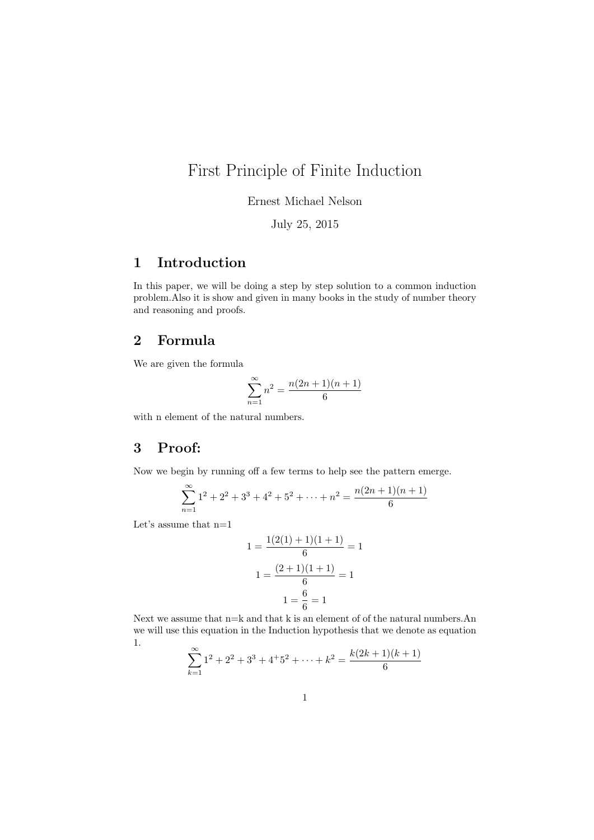## First Principle of Finite Induction

Ernest Michael Nelson

July 25, 2015

## 1 Introduction

In this paper, we will be doing a step by step solution to a common induction problem.Also it is show and given in many books in the study of number theory and reasoning and proofs.

## 2 Formula

We are given the formula

$$
\sum_{n=1}^{\infty} n^2 = \frac{n(2n+1)(n+1)}{6}
$$

with n element of the natural numbers.

## 3 Proof:

Now we begin by running off a few terms to help see the pattern emerge.

$$
\sum_{n=1}^{\infty} 1^2 + 2^2 + 3^3 + 4^2 + 5^2 + \dots + n^2 = \frac{n(2n+1)(n+1)}{6}
$$

Let's assume that n=1

$$
1 = \frac{1(2(1) + 1)(1 + 1)}{6} = 1
$$

$$
1 = \frac{(2 + 1)(1 + 1)}{6} = 1
$$

$$
1 = \frac{6}{6} = 1
$$

Next we assume that  $n=k$  and that k is an element of of the natural numbers.An we will use this equation in the Induction hypothesis that we denote as equation 1.

$$
\sum_{k=1}^{\infty} 1^2 + 2^2 + 3^3 + 4^3 + 5^2 + \dots + k^2 = \frac{k(2k+1)(k+1)}{6}
$$